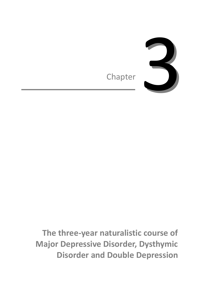

**The three-year naturalistic course of Major Depressive Disorder, Dysthymic Disorder and Double Depression**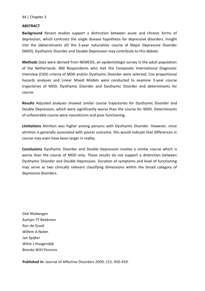#### **ABSTRACT**

**Background** Recent studies support a distinction between acute and chronic forms of depression, which contrasts the single disease hypothesis for depressive disorders. Insight into the (determinants of) the 3-year naturalistic course of Major Depressive Disorder (MDD), Dysthymic Disorder and Double Depression may contribute to this debate.

**Methods** Data were derived from NEMESIS, an epidemiologic survey in the adult population of the Netherlands. 400 Respondents who met the Composite International Diagnostic Interview (CIDI) criteria of MDD and/or Dysthymic Disorder were selected. Cox proportional hazards analyses and Linear Mixed Models were conducted to examine 3-year course trajectories of MDD, Dysthymic Disorder and Dysthymic Disorder and determinants for course.

**Results** Adjusted analyses showed similar course trajectories for Dysthymic Disorder and Double Depression, which were significantly worse than the course for MDD. Determinants of unfavorable course were neuroticism and poor functioning.

**Limitations** Attrition was higher among persons with Dysthymic Disorder. However, since attrition is generally associated with poorer outcome, this would indicate that differences in course may even have been larger in reality.

**Conclusions** Dysthymic Disorder and Double Depression involve a similar course which is worse than the course of MDD only. These results do not support a distinction between Dysthymic Disorder and Double Depression. Duration of symptoms and level of functioning may serve as two clinically relevant classifying dimensions within the broad category of depressive disorders.

Didi Rhebergen Aartjan TF Beekman Ron de Graaf Willem A Nolen Jan Spijker Witte J Hoogendijk Brenda WJH Penninx

**Published in:** Journal of Affective Disorders 2009; 115: 450-459.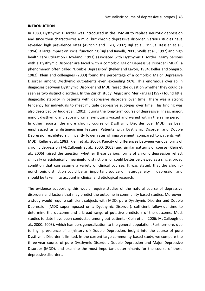## **INTRODUCTION**

In 1980, Dysthymic Disorder was introduced in the DSM-III to replace neurotic depression and since then characterizes a mild, but chronic depressive disorder. Various studies have revealed high prevalence rates (Avrichir and Elkis, 2002; Bijl et al., 1998a; Kessler et al., 1994), a large impact on social functioning (Bijl and Ravelli, 2000; Wells et al., 1992) and high health care utilization (Howland, 1993) associated with Dysthymic Disorder. Many persons with a Dysthymic Disorder are faced with a comorbid Major Depressive Disorder (MDD), a phenomenon often called "Double Depression" (Keller and Lavori, 1984; Keller and Shapiro, 1982). Klein and colleagues (2000) found the percentage of a comorbid Major Depressive Disorder among Dysthymic outpatients even exceeding 90%. This enormous overlap in diagnoses between Dysthymic Disorder and MDD raised the question whether they could be seen as two distinct disorders. In the Zurich study, Angst and Merikangas (1997) found little diagnostic stability in patients with depressive disorders over time. There was a strong tendency for individuals to meet multiple depressive subtypes over time. This finding was also described by Judd et al. (2002): during the long-term course of depressive illness, major, minor, dysthymic and subsyndromal symptoms waxed and waned within the same person. In other reports, the more chronic course of Dysthymic Disorder over MDD has been emphasized as a distinguishing feature. Patients with Dysthymic Disorder and Double Depression exhibited significantly lower rates of improvement, compared to patients with MDD (Keller et al., 1983; Klein et al., 2006). Paucity of differences between various forms of chronic depression (McCullough et al., 2000, 2003) and similar patterns of course (Klein et al., 2006) raised the question whether these various forms of chronic depression reflect clinically or etiologically meaningful distinctions, or could better be viewed as a single, broad condition that can assume a variety of clinical courses. It was stated, that the chronicnonchronic distinction could be an important source of heterogeneity in depression and should be taken into account in clinical and etiological research.

The evidence supporting this would require studies of the natural course of depressive disorders and factors that may predict the outcome in community based studies. Moreover, a study would require sufficient subjects with MDD, pure Dysthymic Disorder and Double Depression (MDD superimposed on a Dysthymic Disorder); sufficient follow-up time to determine the outcome and a broad range of putative predictors of the outcome. Most studies to date have been conducted among out-patients (Klein et al., 2006; McCullough et al., 2000, 2003), which hampers generalization to the general population. Furthermore, due to high prevalence of a (history of) Double Depression, insight into the course of pure Dysthymic Disorder is limited. In the current large community-based study, we compare the three-year course of pure Dysthymic Disorder, Double Depression and Major Depressive Disorder (MDD), and examine the most important determinants for the course of these depressive disorders.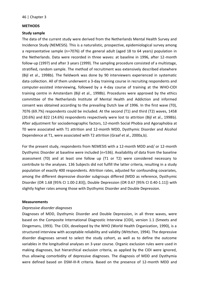## **METHODS**

## **Study sample**

The data of the current study were derived from the Netherlands Mental Health Survey and Incidence Study (NEMESIS). This is a naturalistic, prospective, epidemiological survey among a representative sample (n=7076) of the general adult (aged 18 to 64 years) population in the Netherlands. Data were recorded in three waves: at baseline in 1996, after 12-month follow-up (1997) and after 3 years (1999). The sampling procedure consisted of a multistage, stratified, random sample. The method of recruitment was extensively described elsewhere (Bijl et al., 1998b). The fieldwork was done by 90 interviewers experienced in systematic data collection. All of them underwent a 3-day training course in recruiting respondents and computer-assisted interviewing, followed by a 4-day course of training at the WHO-CIDI training centre in Amsterdam (Bijl et al., 1998b). Procedures were approved by the ethics committee of the Netherlands Institute of Mental Health and Addiction and informed consent was obtained according to the prevailing Dutch law of 1996. In the first wave (T0), 7076 (69.7%) respondents could be included. At the second (T1) and third (T2) waves, 1458 (20.6%) and 822 (14.6%) respondents respectively were lost to attrition (Bijl et al., 1998b). After adjustment for sociodemographic factors, 12-month Social Phobia and Agoraphobia at T0 were associated with T1 attrition and 12-month MDD, Dysthymic Disorder and Alcohol Dependence at T1, were associated with T2 attrition (Graaf et al., 2000a,b).

For the present study, respondents from NEMESIS with a 12-month MDD and/ or 12-month Dysthymic Disorder at baseline were included (n=536). Availability of data from the baseline assessment (T0) and at least one follow up (T1 or T2) were considered necessary to contribute to the analyses. 136 Subjects did not fulfill the latter criteria, resulting in a study population of exactly 400 respondents. Attrition rates, adjusted for confounding covariates, among the different depressive disorder subgroups differed (MDD as reference, Dysthymic Disorder (OR 1.68 [95% CI 1.00-2.83]), Double Depression (OR 0.67 [95% CI 0.40-1.11]) with slightly higher rates among those with Dysthymic Disorder and Double Depression.

#### **Measurements**

## *Depressive disorder diagnoses*

Diagnoses of MDD, Dysthymic Disorder and Double Depression, in all three waves, were based on the Composite International Diagnostic Interview (CIDI), version 1.1 (Smeets and Dingemans, 1993). The CIDI, developed by the WHO (World Health Organization, 1990), is a structured interview with acceptable reliability and validity (Wittchen, 1994). The depressive disorder diagnoses served to select the study cohort, as well as to define the outcome variables in the longitudinal analyses on 3-year course. Organic exclusion rules were used in making diagnoses, but hierarchical exclusion criteria, as applied by the CIDI were ignored, thus allowing comorbidity of depressive diagnoses. The diagnosis of MDD and Dysthymia were defined based on DSM-III-R criteria. Based on the presence of 12-month MDD and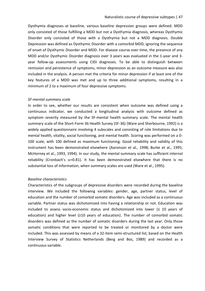Dysthymia diagnoses at baseline, various baseline depression groups were defined. MDD only consisted of those fulfilling a MDD but not a Dysthymia diagnosis, whereas Dysthymic Disorder only consisted of those with a Dysthymia but not a MDD diagnosis. Double Depression was defined as Dysthymic Disorder with a comorbid MDD, ignoring the sequence of onset of Dysthymic Disorder and MDD. For disease course over time, the presence of any MDD and/or Dysthymic Disorder diagnosis over 3 years was evaluated in the 1-year and 3 year follow-up assessments using CIDI diagnoses. To be able to distinguish between remission and persistence of symptoms, minor depression as an outcome measure was also included in the analysis. A person met the criteria for minor depression if at least one of the key features of a MDD was met and up to three additional symptoms, resulting in a minimum of 2 to a maximum of four depressive symptoms.

#### *SF-mental summary scale*

In order to see, whether our results are consistent when outcome was defined using a continuous indicator, we conducted a longitudinal analysis with outcome defined as symptom severity measured by the SF-mental health summary scale. The mental health summary scale of the Short-Form 36 Health Survey (SF-36) (Ware and Sherbourne, 1992) is a widely applied questionnaire involving 4 subscales and consisting of role limitations due to mental health, vitality, social functioning, and mental health. Scoring was performed on a 0- 100 scale, with 100 defined as maximum functioning. Good reliability and validity of this instrument has been demonstrated elsewhere (Aaronson et al., 1998; Burke et al., 1995; McHorney et al., 1993, 1994). In our study, the mental summary scale has sufficient internal reliability (Cronbach's  $\alpha$ =0.81). It has been demonstrated elsewhere that there is no substantial loss of information, when summary scales are used (Ware et al., 1995).

#### *Baseline characteristics*

Characteristics of the subgroups of depressive disorders were recorded during the baseline interview. We included the following variables: gender, age, partner status, level of education and the number of comorbid somatic disorders. Age was included as a continuous variable. Partner status was dichotomized into having a relationship or not. Education was included to assess socio-economic status and dichotomized into lower  $($   $\leq$  10 years of education) and higher level (≥10 years of education). The number of comorbid somatic disorders was defined as the number of somatic disorders during the last year. Only those somatic conditions that were reported to be treated or monitored by a doctor were included. This was assessed by means of a 32-item semi-structured list, based on the Health Interview Survey of Statistics Netherlands (Berg and Bos, 1989) and recorded as a continuous variable.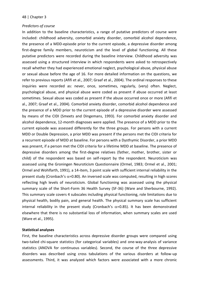#### *Predictors of course*

In addition to the baseline characteristics, a range of putative predictors of course were included: childhood adversity, comorbid anxiety disorder, comorbid alcohol dependence, the presence of a MDD-episode prior to the current episode, a depressive disorder among first-degree family members, neuroticism and the level of global functioning. All these putative predictors were recorded during the baseline interview. Childhood adversity was assessed using a structured interview in which respondents were asked to retrospectively recall whether they had experienced emotional neglect, psychological abuse, physical abuse or sexual abuse before the age of 16. For more detailed information on the questions, we refer to previous reports (Afifi et al., 2007; Graaf et al., 2004). The ordinal responses to these inquiries were recorded as: never, once, sometimes, regularly, (very) often. Neglect, psychological abuse, and physical abuse were coded as present if abuse occurred at least sometimes. Sexual abuse was coded as present if the abuse occurred once or more (Afifi et al., 2007; Graaf et al., 2004). Comorbid anxiety disorder, comorbid alcohol dependence and the presence of a MDD prior to the current episode of a depressive disorder were assessed by means of the CIDI (Smeets and Dingemans, 1993). For comorbid anxiety disorder and alcohol dependence, 12-month diagnoses were applied. The presence of a MDD prior to the current episode was assessed differently for the three groups. For persons with a current MDD or Double Depression, a prior MDD was present if the persons met the CIDI criteria for a recurrent episode of MDD at baseline. For persons with a Dysthymic Disorder, a prior MDD was present, if a person met the CIDI criteria for a lifetime MDD at baseline. The presence of depressive disorders among the first-degree relatives (father, mother, brother, sister or child) of the respondent was based on self-report by the respondent. Neuroticism was assessed using the Groningen Neuroticism Questionnaire (Ormel, 1983; Ormel et al., 2001; Ormel and Wohlfarth, 1991), a 14-item, 3 point scale with sufficient internal reliability in the present study (Cronbach's  $\alpha$ =0.80). An inversed scale was computed, resulting in high scores reflecting high levels of neuroticism. Global functioning was assessed using the physical summary scale of the Short-Form 36 Health Survey (SF-36) (Ware and Sherbourne, 1992). This summary scale covers 4 subscales including physical functioning, role limitations due to physical health, bodily pain, and general health. The physical summary scale has sufficient internal reliability in the present study (Cronbach's  $\alpha$ =0.85). It has been demonstrated elsewhere that there is no substantial loss of information, when summary scales are used (Ware et al., 1995).

## **Statistical analyses**

First, the baseline characteristics across depressive disorder groups were compared using two-tailed chi-square statistics (for categorical variables) and one-way-analysis of variance statistics (ANOVA for continuous variables). Second, the course of the three depressive disorders was described using cross tabulations of the various disorders at follow-up assessments. Third, it was analyzed which factors were associated with a more chronic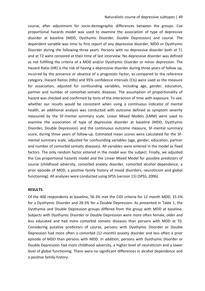course, after adjustment for socio-demographic differences between the groups. Cox proportional hazards model was used to examine the association of type of depressive disorder at baseline (MDD, Dysthymic Disorder, Double Depression) and course. The dependent variable was time to first report of any depressive disorder, MDD or Dysthymic Disorder during the following three years. Persons with no depressive disorder both at T1 and at T2 were censored at their time of last interview. No depressive disorder was defined as not fulfilling the criteria of a MDD and/or Dysthymic Disorder or minor depression. The Hazard Ratio (HR) is the risk of having a depressive disorder during three years of follow up, incurred by the presence or absence of a prognostic factor, as compared to the reference category. Hazard Ratios (HRs) and 95% confidence intervals (CIs) were used as the measure for association, adjusted for confounding variables, including age, gender, education, partner and number of comorbid somatic diseases. The assumption of proportionality of hazard was checked and confirmed by tests of the interaction of time with exposure. To see, whether our results would be consistent when using a continuous indicator of mental health, an additional analysis was conducted with outcome defined as symptom severity measured by the SF-mental summary scale. Linear Mixed Models (LMM) were used to examine the association of type of depressive disorder at baseline (MDD, Dysthymic Disorder, Double Depression) and the continuous outcome measure, SF-mental summary score, during three years of follow-up. Estimated mean scores were calculated for the SFmental summary scale, adjusted for confounding variables (age, gender, education, partner and number of comorbid somatic diseases). All variables were entered in the model as fixed factors. The only random factor entered in the model was the subject. Finally, we adjusted the Cox proportional hazards model and the Linear Mixed Model for possible predictors of course (childhood adversity, comorbid anxiety disorder, comorbid alcohol dependence, a prior episode of MDD, a positive family history of mood disorders, neuroticism and global functioning). All analyses were conducted using SPSS (version 15) (SPSS, 2006).

## **RESULTS**

Of the 400 respondents at baseline, 56.3% met the CIDI criteria for 12-month MDD, 15.5% for a Dysthymic Disorder and 28.3% for a Double Depression. As presented in Table 1, the Dysthymia and Double Depression groups differed from the group with MDD at baseline. Subjects with Dysthymic Disorder or Double Depression were more often female, older and less educated and had more comorbid somatic diseases than persons with MDD at T0. Considering putative predictors of course, persons with Dysthymic Disorder or Double Depression had more often a comorbid (12-month) anxiety disorder and less often a prior episode of MDD than persons with MDD. In addition, persons with Dysthymic Disorder or Double Depression had more childhood adversity, a higher level of neuroticism and a lower level of global functioning. There were no significant differences in alcohol dependence and a positive family-history.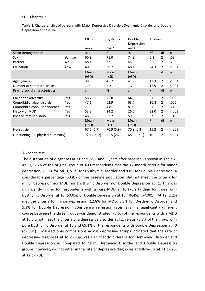**Table 1.** Characteristics of persons with Major Depressive Disorder, Dysthymic Disorder and Double Depression at baseline.

|                                   |        | <b>MDD</b><br>$n = 225$ | Dystymia<br>$n=62$ | Double<br>Depression<br>$n = 113$ | Analysis |                |        |
|-----------------------------------|--------|-------------------------|--------------------|-----------------------------------|----------|----------------|--------|
| Socio-demographics                |        | %                       | %                  | %                                 | $X^2$    | df             | p      |
| Sex                               | Female | 60.9                    | 71.0               | 74.3                              | 6.8      | $\overline{2}$ | .03    |
| Partner                           | No     | 48.4                    | 37.1               | 46.9                              | 2.5      | $\overline{2}$ | .28    |
| Education                         | Low    | 40.9                    | 59.7               | 68.1                              | 24.3     | $\overline{2}$ | < .001 |
|                                   |        | Mean<br>$(\pm SD)$      | Mean<br>$(\pm SD)$ | Mean<br>$(\pm SD)$                | F        | d              | p      |
| Age (years)                       |        | 38.5                    | 45.7               | 41.8                              | 12.3     | $\overline{2}$ | < .001 |
| Number of somatic diseases        |        | 1.0                     | 2.2                | 1.7                               | 15.9     | $\overline{2}$ | < .001 |
| Psycho-social characteristics     |        | %                       | %                  | %                                 | $X^2$    | df             | p      |
| Childhood adversity               | Yes    | 58.2                    | 75.8               | 64.6                              | 6.6      | $\overline{2}$ | .036   |
| Comorbid anxiety disorder         | Yes    | 47.1                    | 62.9               | 63.7                              | 10.8     | 2              | .005   |
| Comorbid alcohol Dependence       | Yes    | 7.1                     | 4.8                | 8.0                               | 0.61     | $\mathcal{P}$  | .74    |
| History of MDD                    | Yes    | 53.8                    | 24.2               | 26.5                              | 32.0     | 2              | < .001 |
| Positive family history           | Yes    | 48.0                    | 53.2               | 59.3                              | 3.9      | $\overline{2}$ | .14    |
|                                   |        | Mean<br>$(\pm SD)$      | Mean<br>$(\pm SD)$ | Mean<br>$(\pm SD)$                | F        | df             | p      |
| Neuroticism                       |        | 67.6 (5.7)              | 70.9 (5.9)         | 70.9 (6.3)                        | 15.2     | $\mathcal{P}$  | < .001 |
| Functioning (SF-physical summary) |        | 77.4 (20.2)             | 65.5 (26.0)        | 68.9 (23.1)                       | 10.1     | $\overline{2}$ | < .001 |

#### *3-Year course*

The distribution of diagnoses at T1 and T2, 1 and 3 years after baseline, is shown in Table 2. At T1, 5.6% of the original group of 400 respondents met the 12-month criteria for minor depression, 20.0% for MDD, 5.1% for Dysthymic Disorder and 8.6% for Double Depression. A considerable percentage (60.8% of the baseline population) did not meet the criteria for minor depression nor MDD nor Dysthymic Disorder nor Double Depression at T1. This was significantly higher for respondents with a pure MDD at T0 (70.9%) than for those with Dysthymic Disorder at T0 (50.0%) or Double Depression at T0 (46.4%) (p<.001). At T2, 2.2% met the criteria for minor depression, 12.8% for MDD, 5.3% for Dysthymic Disorder and 5.3% for Double Depression. Considering remission rates, again a significantly different course between the three groups was demonstrated: 77.6% of the respondents with a MDD at T0 did not meet the criteria of a depressive disorder at T2, versus 70.8% of the group with pure Dysthymic Disorder at T0 and 69.1% of the respondents with Double Depression at T0 (p=.001). Cross-sectional comparisons across depressive groups indicated that the rate of depressive diagnoses at follow-up was significantly different for Dysthymic Disorder and Double Depression as compared to MDD. Dysthymic Disorder and Double Depression groups, however, did not differ in the rate of depressive diagnoses at follow-up (at T1 p=.25; at T2 p=.70).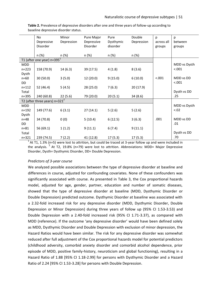|                    | No<br>Depressive                 | Minor<br>Depression | Pure Major<br>Depressive | Pure<br>Dysthymic | Double<br>Depression | p<br>across all | p<br>between          |
|--------------------|----------------------------------|---------------------|--------------------------|-------------------|----------------------|-----------------|-----------------------|
|                    | <b>Disorder</b>                  |                     | Disorder                 | disorder          |                      | groups          | groups                |
|                    | n (%)                            | n (%)               | n (%)                    | n (%)             | n (%)                |                 |                       |
|                    | T1 (after one year) $n=3951$     |                     |                          |                   |                      |                 |                       |
| MDD                |                                  |                     |                          |                   |                      |                 | MDD vs Dysth          |
| $n = 223$          | 158 (70.9)                       | 14(6.3)             | 39 (17.5)                | 4(1.8)            | 8(3.6)               |                 | < .001                |
| Dysth              |                                  |                     |                          |                   |                      |                 |                       |
| $n = 60$           | 30(50.0)                         | 3(5.0)              | 12(20.0)                 | 9(15.0)           | 6(10.0)              | < .001          | MDD vs DD             |
| DD                 |                                  |                     |                          |                   |                      |                 | < .001                |
| $n = 112$          | 52 (46.4)                        | 5(4.5)              | 28(25.0)                 | 7(6.3)            | 20(17.9)             |                 |                       |
| Total<br>$n = 395$ |                                  |                     |                          |                   |                      |                 | Dysth vs DD<br>.25    |
|                    | 240 (60.8)                       | 22(5.6)             | 79 (20.0)                | 20(5.1)           | 34(8.6)              |                 |                       |
|                    | T2 (after three years) $n=321^2$ |                     |                          |                   |                      |                 |                       |
| MDD                |                                  |                     |                          |                   |                      |                 | MDD vs Dysth<br>< .02 |
| $n = 192$          | 149 (77.6)                       | 6(3.1)              | 27(14.1)                 | 5(2.6)            | 5(2.6)               |                 |                       |
| Dysth<br>$n=48$    | 34 (70.8)                        |                     | 5(10.4)                  | 6(12.5)           | 3(6.3)               | .001            | MDD vs DD             |
| DD                 |                                  | 0(0)                |                          |                   |                      |                 | .01                   |
| $n = 81$           | 56 (69.1)                        | 1(1.2)              | 9(11.1)                  | 6(7.4)            | 9(11.1)              |                 |                       |
| Total              |                                  |                     |                          |                   |                      |                 | Dysth vs DD           |
| $n = 321$          | 239 (74.5)                       | 7(2.2)              | 41 (12.8)                | 17 (5.3)          | 17(5.3)              |                 | .70                   |

**Table 2.** Prevalence of depressive disorders after one and three years of follow-up according to baseline depressive disorder status.

 $1<sup>1</sup>$  At T1, 1.3% (n=5) were lost to attrition, but could be traced at 3-year follow up and were included in the analysis. <sup>2</sup> At T2, 19.8% (n=79) were lost to attrition. Abbreviations: MDD= Major Depressive Disorder, Dysth= Dysthymic Disorder, DD= Double Depression.

## *Predictors of 3-year course*

We analyzed possible associations between the type of depressive disorder at baseline and differences in course, adjusted for confounding covariates. None of these confounders was significantly associated with course. As presented in Table 3, the Cox proportional hazards model, adjusted for age, gender, partner, education and number of somatic diseases, showed that the type of depressive disorder at baseline (MDD, Dysthymic Disorder or Double Depression) predicted outcome. Dysthymic Disorder at baseline was associated with a 2.32-fold increased risk for any depressive disorder (MDD, Dysthymic Disorder, Double Depression or Minor Depression) during three years of follow up (95% CI 1.53-3.53) and Double Depression with a 2.40-fold increased risk (95% CI 1.71-3.37), as compared with MDD (reference). If the outcome 'any depressive disorder' would have been defined solely as MDD, Dysthymic Disorder and Double Depression with exclusion of minor depression, the Hazard Ratios would have been similar. The risk for any depressive disorder was somewhat reduced after full adjustment of the Cox proportional hazards model for potential predictors (childhood adversity, comorbid anxiety disorder and comorbid alcohol dependence, prior episode of MDD, positive family-history, neuroticism and global functioning), resulting in a Hazard Ratio of 1.88 [95% CI 1.18-2.99] for persons with Dysthymic Disorder and a Hazard Ratio of 2.24 [95% CI 1.53-3.28] for persons with Double Depression.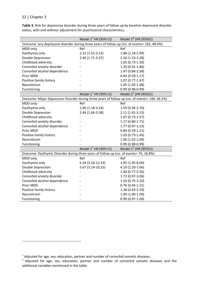$\overline{a}$ 

**Table 3.** Risk for depressive disorder during three years of follow up by baseline depressive disorder status, with and without adjustment for psychosocial characteristics.

|                                                                                                | Model $1^1$ HR (95% CI) | Model $2^1$ (HR (95%CI)   |  |  |  |
|------------------------------------------------------------------------------------------------|-------------------------|---------------------------|--|--|--|
| Outcome: any depressive disorder during three years of follow up (no. of events= 192; 48.0%)   |                         |                           |  |  |  |
| MDD only                                                                                       | Ref                     | Ref                       |  |  |  |
| Dysthymia only                                                                                 | 2.32 (1.53-3.53)        | 1.88 (1.18-2.99)          |  |  |  |
| Double Depression                                                                              | 2.40 (1.71-3.37)        | 2.24 (1.53-3.28)          |  |  |  |
| Childhood adversity                                                                            |                         | 1.05 (0.73-1.50)          |  |  |  |
| Comorbid anxiety disorder                                                                      |                         | 1.30 (0.91-1.86)          |  |  |  |
| Comorbid alcohol dependence                                                                    |                         | 1.47 (0.84-2.58)          |  |  |  |
| Prior MDD                                                                                      |                         | $0.83(0.59-1.17)$         |  |  |  |
| Positive family history                                                                        |                         | 1.07 (0.77-1.47)          |  |  |  |
| Neuroticism                                                                                    |                         | $1.05(1.02-1.08)$         |  |  |  |
| Functioning                                                                                    |                         | $0.99(0.98-0.99)$         |  |  |  |
|                                                                                                | Model $1^1$ HR (95% CI) | Model $2^2$ (HR (95%CI)   |  |  |  |
| Outcome: Major Depressive Disorder during three years of follow up (no. of events= 146; 36.5%) |                         |                           |  |  |  |
| MDD only                                                                                       | Ref                     | Ref                       |  |  |  |
| Dysthymia only                                                                                 | 1.96 (1.18-3.24)        | 1.59 (0.94-2.70)          |  |  |  |
| Double Depression                                                                              | 2.44 (1.66-3.58)        | $2.11(1.41-3.15)$         |  |  |  |
| Childhood adversity                                                                            |                         | 1.07 (0.73-1.57)          |  |  |  |
| Comorbid anxiety disorder                                                                      |                         | 1.17 (0.80-1.71)          |  |  |  |
| Comorbid alcohol dependence                                                                    |                         | 1.77 (0.97-3.23)          |  |  |  |
| Prior MDD                                                                                      |                         | $0.84(0.59-1.21)$         |  |  |  |
| Positive family history                                                                        |                         | $1.03(0.73-1.45)$         |  |  |  |
| Neuroticism                                                                                    |                         | 1.06 (1.02-1.09)          |  |  |  |
| Functioning                                                                                    |                         | $0.99(0.98-0.99)$         |  |  |  |
|                                                                                                | Model $1^1$ HR (95% CI) | Model $2^{2}$ (HR (95%CI) |  |  |  |
| Outcome: Dysthymic Disorder during three years of follow up (no. of events= 75; 18.8%)         |                         |                           |  |  |  |
| MDD only                                                                                       | Ref                     | Ref                       |  |  |  |
| Dysthymia only                                                                                 | 6.34 (3.26-12.33)       | 3.95 (1.95-8.00)          |  |  |  |
| Double Depression                                                                              | 5.67 (3.14-10.25)       | 4.10 (2.20-7.66)          |  |  |  |
| Childhood adversity                                                                            |                         | 1.40 (0.77-2.56)          |  |  |  |
| Comorbid anxiety disorder                                                                      |                         | 1.72 (0.97-3.06)          |  |  |  |
| Comorbid alcohol dependence                                                                    |                         | 1.54 (0.75-3.20)          |  |  |  |
| Prior MDD                                                                                      |                         | $0.76(0.44-1.31)$         |  |  |  |
| Positive family history                                                                        |                         | 1.38 (0.83-2.29)          |  |  |  |
| Neuroticism                                                                                    |                         | 1.04 (1.00-1.09)          |  |  |  |
| Functioning                                                                                    |                         | $0.99(0.97-1.00)$         |  |  |  |

 $^1$  Adjusted for age, sex, education, partner and number of comorbid somatic diseases.

<sup>&</sup>lt;sup>2</sup> Adjusted for age, sex, education, partner and number of comorbid somatic diseases and the additional variables mentioned in the table.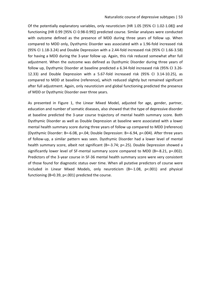#### Naturalistic course of depressive subtypes | 53

Of the potentially explanatory variables, only neuroticism (HR 1.05 [95% CI 1.02-1.08]) and functioning (HR 0.99 [95% CI 0.98-0.99]) predicted course. Similar analyses were conducted with outcome defined as the presence of MDD during three years of follow up. When compared to MDD only, Dysthymic Disorder was associated with a 1.96-fold increased risk (95% CI 1.18-3.24) and Double Depression with a 2.44-fold increased risk (95% CI 1.66-3.58) for having a MDD during the 3-year follow up. Again, this risk reduced somewhat after full adjustment. When the outcome was defined as Dysthymic Disorder during three years of follow up, Dysthymic Disorder at baseline predicted a 6.34-fold increased risk (95% CI 3.26- 12.33) and Double Depression with a 5.67-fold increased risk (95% CI 3.14-10.25), as compared to MDD at baseline (reference), which reduced slightly but remained significant after full adjustment. Again, only neuroticism and global functioning predicted the presence of MDD or Dysthymic Disorder over three years.

As presented in Figure 1, the Linear Mixed Model, adjusted for age, gender, partner, education and number of somatic diseases, also showed that the type of depressive disorder at baseline predicted the 3-year course trajectory of mental health summary score. Both Dysthymic Disorder as well as Double Depression at baseline were associated with a lower mental health summary score during three years of follow up compared to MDD (reference) (Dysthymic Disorder: B=-6.08, p=.04; Double Depression: B=-6.94, p=.004). After three years of follow-up, a similar pattern was seen. Dysthymic Disorder had a lower level of mental health summary score, albeit not significant (B=-3.74; p=.25). Double Depression showed a significantly lower level of SF-mental summary score compared to MDD (B=-8.21,  $p=002$ ). Predictors of the 3-year course in SF-36 mental health summary score were very consistent of those found for diagnostic status over time. When all putative predictors of course were included in Linear Mixed Models, only neuroticism (B=-1.08, p<.001) and physical functioning (B=0.39, p<.001) predicted the course.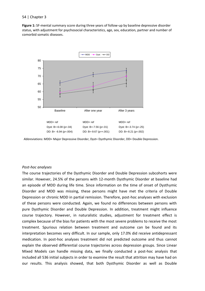**Figure 1:** SF-mental summary score during three years of follow-up by baseline depressive disorder status, with adjustment for psychosocial characteristics, age, sex, education, partner and number of comorbid somatic diseases.



Abbreviations: MDD= Major Depressive Disorder, Dyst= Dysthymic Disorder, DD= Double Depression.

#### *Post-hoc analyses*

The course trajectories of the Dysthymic Disorder and Double Depression subcohorts were similar. However, 24.5% of the persons with 12-month Dysthymic Disorder at baseline had an episode of MDD during life time. Since information on the time of onset of Dysthymic Disorder and MDD was missing, these persons might have met the criteria of Double Depression or chronic MDD in partial remission. Therefore, post-hoc analyses with exclusion of these persons were conducted. Again, we found no differences between persons with pure Dysthymic Disorder and Double Depression. In addition, treatment might influence course trajectory. However, in naturalistic studies, adjustment for treatment effect is complex because of the bias for patients with the most severe problems to receive the most treatment. Spurious relation between treatment and outcome can be found and its interpretation becomes very difficult. In our sample, only 17.0% did receive antidepressant medication. In post-hoc analyses treatment did not predicted outcome and thus cannot explain the observed differential course trajectories across depression groups. Since Linear Mixed Models can handle missing data, we finally conducted a post-hoc analysis that included all 536 initial subjects in order to examine the result that attrition may have had on our results. This analysis showed, that both Dysthymic Disorder as well as Double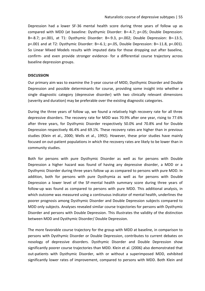Depression had a lower SF-36 mental health score during three years of follow up as compared with MDD (at baseline: Dysthymic Disorder: B=-4.7; p=.05; Double Depression: B=-8.7; p<.001, at T1: Dysthymic Disorder: B=-9.3, p=.002; Double Depression: B=-13.5, p<.001 and at T2: Dysthymic Disorder: B=-6.1; p=.05, Double Depression: B=-11.8, p<.001). So Linear Mixed Models results with imputed data for those dropping out after baseline, confirm- and even provide stronger evidence- for a differential course trajectory across baseline depression groups.

## **DISCUSSION**

Our primary aim was to examine the 3-year course of MDD, Dysthymic Disorder and Double Depression and possible determinants for course, providing some insight into whether a single diagnostic category (depressive disorder) with two clinically relevant dimensions (severity and duration) may be preferable over the existing diagnostic categories.

During the three years of follow up, we found a relatively high recovery rate for all three depressive disorders. The recovery rate for MDD was 70.9% after one year, rising to 77.6% after three years, for Dysthymic Disorder respectively 50.0% and 70.8% and for Double Depression respectively 46.4% and 69.1%. These recovery rates are higher than in previous studies (Klein et al., 2000; Wells et al., 1992). However, these prior studies have mainly focused on out-patient populations in which the recovery rates are likely to be lower than in community studies.

Both for persons with pure Dysthymic Disorder as well as for persons with Double Depression a higher hazard was found of having any depressive disorder, a MDD or a Dysthymic Disorder during three years follow up as compared to persons with pure MDD. In addition, both for persons with pure Dysthymia as well as for persons with Double Depression a lower level of the SF-mental health summary score during three years of follow-up was found as compared to persons with pure MDD. This additional analysis, in which outcome was measured using a continuous indicator of mental health, underlines the poorer prognosis among Dysthymic Disorder and Double Depression subjects compared to MDD only subjects. Analyses revealed similar course trajectories for persons with Dysthymic Disorder and persons with Double Depression. This illustrates the validity of the distinction between MDD and Dysthymic Disorder/ Double Depression.

The more favorable course trajectory for the group with MDD at baseline, in comparison to persons with Dysthymic Disorder or Double Depression, contributes to current debates on nosology of depressive disorders. Dysthymic Disorder and Double Depression show significantly poorer course trajectories than MDD. Klein et al. (2006) also demonstrated that out-patients with Dysthymic Disorder, with or without a superimposed MDD, exhibited significantly lower rates of improvement, compared to persons with MDD. Both Klein and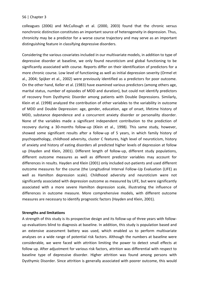colleagues (2006) and McCullough et al. (2000, 2003) found that the chronic versus nonchronic distinction constitutes an important source of heterogeneity in depression. Thus, chronicity may be a predictor for a worse course trajectory and may serve as an important distinguishing feature in classifying depressive disorders.

Considering the various covariates included in our multivariate models, in addition to type of depressive disorder at baseline, we only found neuroticism and global functioning to be significantly associated with course. Reports differ on their identification of predictors for a more chronic course. Low level of functioning as well as initial depression severity (Ormel et al., 2004; Spijker et al., 2002) were previously identified as a predictors for poor outcome. On the other hand, Keller et al. (1983) have examined various predictors (among others age, marital status, number of episodes of MDD and duration), but could not identify predictors of recovery from Dysthymic Disorder among patients with Double Depressions. Similarly, Klein et al. (1998) analyzed the contribution of other variables to the variability in outcome of MDD and Double Depression: age, gender, education, age of onset, lifetime history of MDD, substance dependence and a concurrent anxiety disorder or personality disorder. None of the variables made a significant independent contribution to the prediction of recovery during a 30-months follow-up (Klein et al., 1998). This same study, however, showed some significant results after a follow-up of 5 years, in which family history of psychopathology, childhood adversity, cluster C features, high level of neuroticism, history of anxiety and history of eating disorders all predicted higher levels of depression at follow up (Hayden and Klein, 2001). Different length of follow-up, different study populations, different outcome measures as well as different predictor variables may account for differences in results. Hayden and Klein (2001) only included out-patients and used different outcome measures for the course (the Longitudinal Interval Follow-Up Evaluation (LIFE) as well as Hamilton depression scale). Childhood adversity and neuroticism were not significantly associated with depression outcome as measured by LIFE, but were significantly associated with a more severe Hamilton depression scale, illustrating the influence of differences in outcome measure. More comprehensive models, with different outcome measures are necessary to identify prognostic factors (Hayden and Klein, 2001).

## **Strengths and limitations**

A strength of this study is its prospective design and its follow-up of three years with followup evaluations blind to diagnosis at baseline. In addition, this study is population based and an extensive assessment battery was used, which enabled us to perform multivariate analyses on a wide range of potential risk factors. Although the numbers at baseline were considerable, we were faced with attrition limiting the power to detect small effects at follow up. After adjustment for various risk factors, attrition was differential with respect to baseline type of depressive disorder. Higher attrition was found among persons with Dysthymic Disorder. Since attrition is generally associated with poorer outcome, this would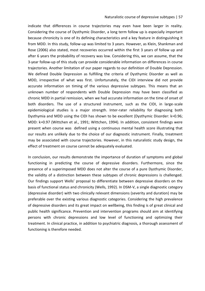indicate that differences in course trajectories may even have been larger in reality. Considering the course of Dysthymic Disorder, a long term follow up is especially important because chronicity is one of its defining characteristics and a key feature in distinguishing it from MDD. In this study, follow-up was limited to 3 years. However, as Klein, Shankman and Rose (2006) also stated, most recoveries occurred within the first 3 years of follow up and after 6 years the probability of recovery was low. Considering this, we can assume, that the 3-year follow-up of this study can provide considerable information on differences in course trajectories. Another limitation of our paper regards to our definition of Double Depression. We defined Double Depression as fulfilling the criteria of Dysthymic Disorder as well as MDD, irrespective of what was first. Unfortunately, the CIDI interview did not provide accurate information on timing of the various depressive subtypes. This means that an unknown number of respondents with Double Depression may have been classified as chronic MDD in partial remission, when we had accurate information on the time of onset of both disorders. The use of a structured instrument, such as the CIDI, in large-scale epidemiological studies is a major strength. Inter-rater reliability for diagnosing both Dysthymia and MDD using the CIDI has shown to be excellent (Dysthymic Disorder: k=0.96; MDD: k=0.97 (Wittchen et al., 1991; Wittchen, 1994). In addition, consistent findings were present when course was defined using a continuous mental health score illustrating that our results are unlikely due to the choice of our diagnostic instrument. Finally, treatment may be associated with course trajectories. However, in this naturalistic study design, the effect of treatment on course cannot be adequately evaluated.

In conclusion, our results demonstrate the importance of duration of symptoms and global functioning in predicting the course of depressive disorders. Furthermore, since the presence of a superimposed MDD does not alter the course of a pure Dysthymic Disorder, the validity of a distinction between these subtypes of chronic depressions is challenged. Our findings support Wells' proposal to differentiate between depressive disorders on the basis of functional status and chronicity (Wells, 1992). In DSM-V, a single diagnostic category (depressive disorder) with two clinically relevant dimensions (severity and duration) may be preferable over the existing various diagnostic categories. Considering the high prevalence of depressive disorders and its great impact on wellbeing, this finding is of great clinical and public health significance. Prevention and intervention programs should aim at identifying persons with chronic depressions and low level of functioning and optimizing their treatment. In clinical practice, in addition to psychiatric diagnosis, a thorough assessment of functioning is therefore needed.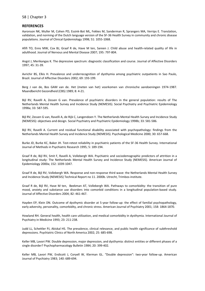#### **REFERENCES**

Aaronson NK, Muller M, Cohen PD, Essink-Bot ML, Fekkes M, Sanderman R, Sprangers MA, Verrips E. Translation, validation, and norming of the Dutch language version of the SF-36 Health Survey in community and chronic disease populations. Journal of Clinical Epidemiology 1998; 51: 1055-1068.

Afifi TO, Enns MW, Cox BJ, Graaf R de, Have M ten, Sareen J. Child abuse and health-related quality of life in adulthood. Journal of Nervous and Mental Disease 2007; 195: 797-804.

Angst J, Merikangas K. The depressive spectrum: diagnostic classification and course. Journal of Affective Disorders 1997; 45: 31-39.

Avrichir BS, Elkis H. Prevalence and underrecognition of dysthymia among psychiatric outpatients in Sao Paulo, Brazil. Journal of Affective Disorders 2002; 69: 193-199.

Berg J van de, Bos GAM van de. Het (meten van het) voorkomen van chronische aandoeningen 1974-1987. Maandbericht Gezondheid (CBS) 1989; 8: 4-21.

Bijl RV, Ravelli A, Zessen G van. Prevalence of psychiatric disorders in the general population: results of The Netherlands Mental Health Survey and Incidence Study (NEMESIS). Social Psychiatry and Psychiatric Epidemiology 1998a; 33: 587-595.

Bijl RV, Zessen G van, Ravelli A, de Rijk C, Langendoen Y. The Netherlands Mental Health Survey and Incidence Study (NEMESIS): objectives and design. Social Psychiatry and Psychiatric Epidemiology 1998b; 33: 581-586.

Bijl RV, Ravelli A. Current and residual functional disability associated with psychopathology: findings from the Netherlands Mental Health Survey and Incidence Study (NEMESIS). Psychological Medicine 2000; 30: 657-668.

Burke JD, Burke KC, Baker JH. Test-retest reliability in psychiatric patients of the SF-36 Health Survey. International Journal of Methods in Psychiatric Research 1995; 5: 189-194.

Graaf R de, Bijl RV, Smit F, Ravelli A, Vollebergh WA. Psychiatric and sociodemographic predictors of attrition in a longitudinal study: The Netherlands Mental Health Survey and Incidence Study (NEMESIS). American Journal of Epidemiology 2000a; 152: 1039-1047.

Graaf R de, Bijl RV, Vollebergh WA. Response and non-response third wave: the Netherlands Mental Health Survey and Incidence Study (NEMESIS) Technical Report no 11. 2000b. Utrecht, Trimbos-institute.

Graaf R de, Bijl RV, Have M ten, Beekman AT, Vollebergh WA. Pathways to comorbidity: the transition of pure mood, anxiety and substance use disorders into comorbid conditions in a longitudinal population-based study. Journal of Affective Disorders 2004; 82: 461-467.

Hayden EP, Klein DN. Outcome of dysthymic disorder at 5-year follow-up: the effect of familial psychopathology, early adversity, personality, comorbidity, and chronic stress. American Journal of Psychiatry 2001; 158: 1864-1870.

Howland RH. General health, health care utilization, and medical comorbidity in dysthymia. International Journal of Psychiatry in Medicine 1993; 23: 211-238.

Judd LL, Schettler PJ, Akiskal HS. The prevalence, clinical relevance, and public health significance of subthreshold depressions. Psychiatric Clinics of North America 2002; 25: 685-698.

Keller MB, Lavori PW. Double depression, major depression, and dysthymia: distinct entities or different phases of a single disorder? Psychopharmacology Bulletin 1984; 20: 399-402.

Keller MB, Lavori PW, Endicott J, Coryell W, Klerman GL. "Double depression": two-year follow-up. American Journal of Psychiatry 1983; 140: 689-694.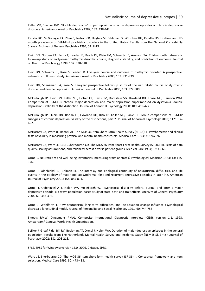Keller MB, Shapiro RW. "Double depression": superimposition of acute depressive episodes on chronic depressive disorders. American Journal of Psychiatry 1982; 139: 438-442.

Kessler RC, McGonagle KA, Zhao S, Nelson CB, Hughes M, Eshleman S, Wittchen HU, Kendler KS. Lifetime and 12 month prevalence of DSM-III-R psychiatric disorders in the United States. Results from the National Comorbidity Survey. Archives of General Psychiatry 1994; 51: 8-19.

Klein DN, Norden KA, Ferro T, Leader JB, Kasch KL, Klein LM, Schwartz JE, Aronson TA. Thirty-month naturalistic follow-up study of early-onset dysthymic disorder: course, diagnostic stability, and prediction of outcome. Journal of Abnormal Psychology 1998; 107: 338-348.

Klein DN, Schwartz JE, Rose S, Leader JB. Five-year course and outcome of dysthymic disorder: A prospective, naturalistic follow-up study. American Journal of Psychiatry 2000; 157: 931-939.

Klein DN, Shankman SA, Rose S. Ten-year prospective follow-up study of the naturalistic course of dysthymic disorder and double depression. American Journal of Psychiatry 2006; 163: 872-880.

McCullough JP, Klein DN, Keller MB, Holzer CE, Davis SM, Kornstein SG, Howland RH, Thase ME, Harrison WM. Comparison of DSM-III-R chronic major depression and major depression superimposed on dysthymia (double depression): validity of the distinction. Journal of Abnormal Psychology 2000; 109: 419-427.

McCullough JP, Klein DN, Borian FE, Howland RH, Riso LP, Keller MB, Banks PL. Group comparisons of DSM-IV subtypes of chronic depression: validity of the distinctions, part 2. Journal of Abnormal Psychology 2003; 112: 614- 622.

McHorney CA, Ware JE, Raczek AE. The MOS 36-Item Short-Form Health Survey (SF-36): II. Psychometric and clinical tests of validity in measuring physical and mental health constructs. Medical Care 1993; 31: 247-263.

McHorney CA, Ware JE, Lu JF, Sherbourne CD. The MOS 36-item Short-Form Health Survey (SF-36): III. Tests of data quality, scaling assumptions, and reliability across diverse patient groups. Medical Care 1994; 32: 40-66.

Ormel J. Neuroticism and well-being inventories: measuring traits or states? Psychological Medicine 1983; 13: 165- 176.

Ormel J, Oldehinkel AJ, Brilman EI. The interplay and etiological continuity of neuroticism, difficulties, and life events in the etiology of major and subsyndromal, first and recurrent depressive episodes in later life. American Journal of Psychiatry 2001; 158: 885-891.

Ormel J, Oldehinkel A J, Nolen WA, Vollebergh W. Psychosocial disability before, during, and after a major depressive episode: a 3-wave population-based study of state, scar, and trait effects. Archives of General Psychiatry 2004; 61: 387-392.

Ormel J, Wohlfarth T. How neuroticism, long-term difficulties, and life situation change influence psychological distress: a longitudinal model. Journal of Personality and Social Psychology 1991; 60: 744-755.

Smeets RMW, Dingemans PMAJ. Composite International Diagnostic Interview (CIDI), version 1.1. 1993. Amsterdam/ Geneva, World Health Organization.

Spijker J, Graaf R de, Bijl RV, Beekman AT, Ormel J, Nolen WA. Duration of major depressive episodes in the general population: results from The Netherlands Mental Health Survey and Incidence Study (NEMESIS). British Journal of Psychiatry 2002; 181: 208-213.

SPSS. SPSS for Windows: version 15.0. 2006. Chicago, SPSS.

Ware JE, Sherbourne CD. The MOS 36-item short-form health survey (SF-36). I. Conceptual framework and item selection. Medical Care 1992; 30: 473-483.